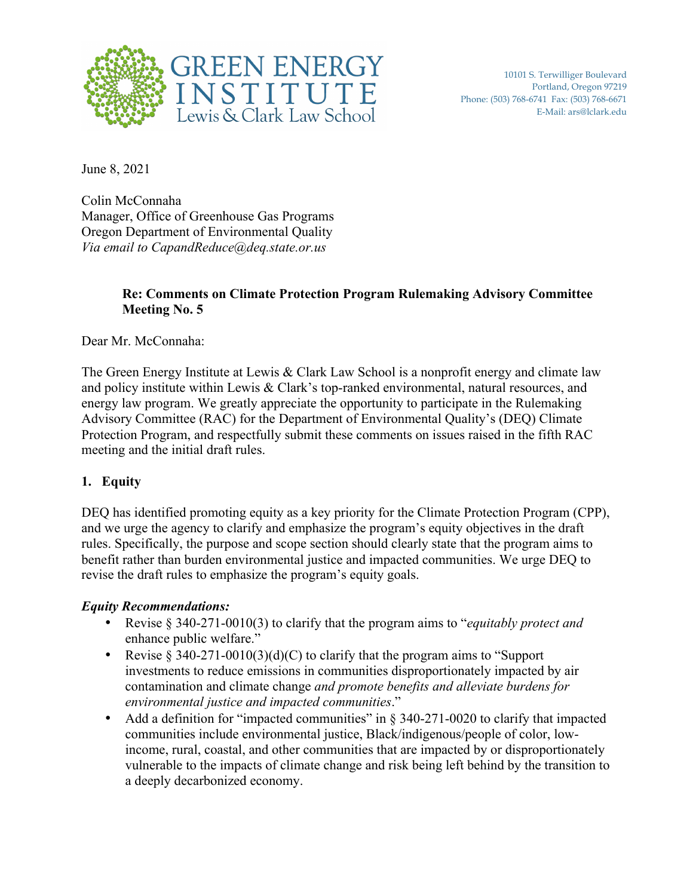

June 8, 2021

Colin McConnaha Manager, Office of Greenhouse Gas Programs Oregon Department of Environmental Quality *Via email to CapandReduce@deq.state.or.us* 

# **Re: Comments on Climate Protection Program Rulemaking Advisory Committee Meeting No. 5**

Dear Mr. McConnaha:

The Green Energy Institute at Lewis & Clark Law School is a nonprofit energy and climate law and policy institute within Lewis & Clark's top-ranked environmental, natural resources, and energy law program. We greatly appreciate the opportunity to participate in the Rulemaking Advisory Committee (RAC) for the Department of Environmental Quality's (DEQ) Climate Protection Program, and respectfully submit these comments on issues raised in the fifth RAC meeting and the initial draft rules.

# **1. Equity**

DEQ has identified promoting equity as a key priority for the Climate Protection Program (CPP), and we urge the agency to clarify and emphasize the program's equity objectives in the draft rules. Specifically, the purpose and scope section should clearly state that the program aims to benefit rather than burden environmental justice and impacted communities. We urge DEQ to revise the draft rules to emphasize the program's equity goals.

### *Equity Recommendations:*

- Revise § 340-271-0010(3) to clarify that the program aims to "*equitably protect and* enhance public welfare."
- Revise  $\S 340-271-0010(3)(d)(C)$  to clarify that the program aims to "Support" investments to reduce emissions in communities disproportionately impacted by air contamination and climate change *and promote benefits and alleviate burdens for environmental justice and impacted communities*."
- Add a definition for "impacted communities" in § 340-271-0020 to clarify that impacted communities include environmental justice, Black/indigenous/people of color, lowincome, rural, coastal, and other communities that are impacted by or disproportionately vulnerable to the impacts of climate change and risk being left behind by the transition to a deeply decarbonized economy.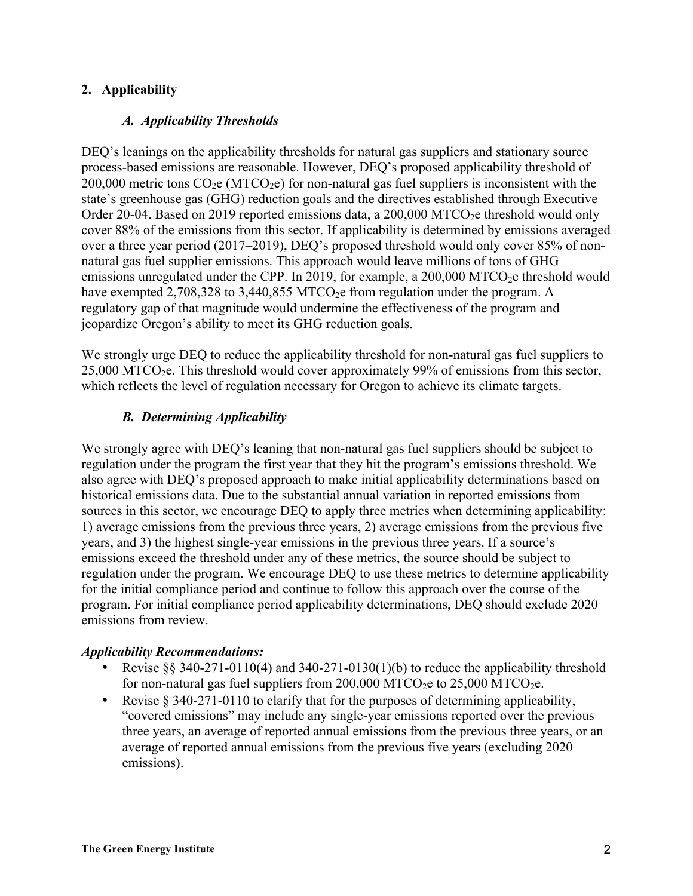# **2. Applicability**

### *A. Applicability Thresholds*

DEO's leanings on the applicability thresholds for natural gas suppliers and stationary source process-based emissions are reasonable. However, DEQ's proposed applicability threshold of 200,000 metric tons  $CO<sub>2</sub>e (MTCO<sub>2</sub>e)$  for non-natural gas fuel suppliers is inconsistent with the state's greenhouse gas (GHG) reduction goals and the directives established through Executive Order 20-04. Based on 2019 reported emissions data, a 200,000 MTCO<sub>2</sub>e threshold would only cover 88% of the emissions from this sector. If applicability is determined by emissions averaged over a three year period (2017–2019), DEQ's proposed threshold would only cover 85% of nonnatural gas fuel supplier emissions. This approach would leave millions of tons of GHG emissions unregulated under the CPP. In 2019, for example, a  $200,000$  MTCO<sub>2</sub>e threshold would have exempted 2,708,328 to 3,440,855 MTCO<sub>2</sub>e from regulation under the program. A regulatory gap of that magnitude would undermine the effectiveness of the program and jeopardize Oregon's ability to meet its GHG reduction goals.

We strongly urge DEQ to reduce the applicability threshold for non-natural gas fuel suppliers to 25,000 MTCO<sub>2</sub>e. This threshold would cover approximately 99% of emissions from this sector, which reflects the level of regulation necessary for Oregon to achieve its climate targets.

# *B. Determining Applicability*

We strongly agree with DEQ's leaning that non-natural gas fuel suppliers should be subject to regulation under the program the first year that they hit the program's emissions threshold. We also agree with DEQ's proposed approach to make initial applicability determinations based on historical emissions data. Due to the substantial annual variation in reported emissions from sources in this sector, we encourage DEQ to apply three metrics when determining applicability: 1) average emissions from the previous three years, 2) average emissions from the previous five years, and 3) the highest single-year emissions in the previous three years. If a source's emissions exceed the threshold under any of these metrics, the source should be subject to regulation under the program. We encourage DEQ to use these metrics to determine applicability for the initial compliance period and continue to follow this approach over the course of the program. For initial compliance period applicability determinations, DEQ should exclude 2020 emissions from review.

### *Applicability Recommendations:*

- Revise  $\S$ § 340-271-0110(4) and 340-271-0130(1)(b) to reduce the applicability threshold for non-natural gas fuel suppliers from  $200,000$  MTCO<sub>2</sub>e to  $25,000$  MTCO<sub>2</sub>e.
- Revise § 340-271-0110 to clarify that for the purposes of determining applicability, "covered emissions" may include any single-year emissions reported over the previous three years, an average of reported annual emissions from the previous three years, or an average of reported annual emissions from the previous five years (excluding 2020 emissions).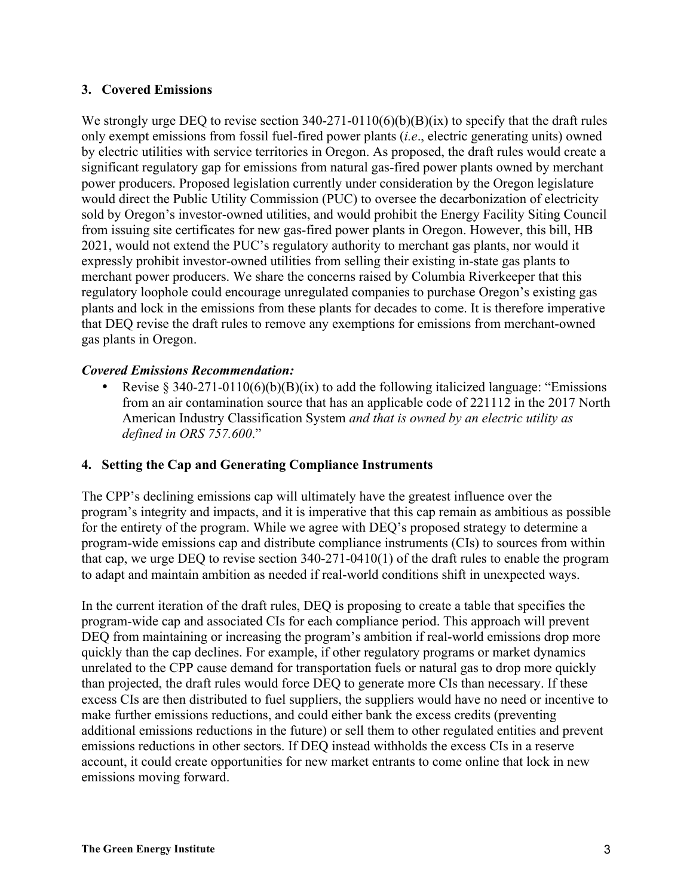### **3. Covered Emissions**

We strongly urge DEQ to revise section 340-271-0110(6)(b)(B)(ix) to specify that the draft rules only exempt emissions from fossil fuel-fired power plants (*i.e*., electric generating units) owned by electric utilities with service territories in Oregon. As proposed, the draft rules would create a significant regulatory gap for emissions from natural gas-fired power plants owned by merchant power producers. Proposed legislation currently under consideration by the Oregon legislature would direct the Public Utility Commission (PUC) to oversee the decarbonization of electricity sold by Oregon's investor-owned utilities, and would prohibit the Energy Facility Siting Council from issuing site certificates for new gas-fired power plants in Oregon. However, this bill, HB 2021, would not extend the PUC's regulatory authority to merchant gas plants, nor would it expressly prohibit investor-owned utilities from selling their existing in-state gas plants to merchant power producers. We share the concerns raised by Columbia Riverkeeper that this regulatory loophole could encourage unregulated companies to purchase Oregon's existing gas plants and lock in the emissions from these plants for decades to come. It is therefore imperative that DEQ revise the draft rules to remove any exemptions for emissions from merchant-owned gas plants in Oregon.

#### *Covered Emissions Recommendation:*

• Revise § 340-271-0110(6)(b)(B)(ix) to add the following italicized language: "Emissions" from an air contamination source that has an applicable code of 221112 in the 2017 North American Industry Classification System *and that is owned by an electric utility as defined in ORS 757.600*."

#### **4. Setting the Cap and Generating Compliance Instruments**

The CPP's declining emissions cap will ultimately have the greatest influence over the program's integrity and impacts, and it is imperative that this cap remain as ambitious as possible for the entirety of the program. While we agree with DEQ's proposed strategy to determine a program-wide emissions cap and distribute compliance instruments (CIs) to sources from within that cap, we urge DEQ to revise section 340-271-0410(1) of the draft rules to enable the program to adapt and maintain ambition as needed if real-world conditions shift in unexpected ways.

In the current iteration of the draft rules, DEQ is proposing to create a table that specifies the program-wide cap and associated CIs for each compliance period. This approach will prevent DEQ from maintaining or increasing the program's ambition if real-world emissions drop more quickly than the cap declines. For example, if other regulatory programs or market dynamics unrelated to the CPP cause demand for transportation fuels or natural gas to drop more quickly than projected, the draft rules would force DEQ to generate more CIs than necessary. If these excess CIs are then distributed to fuel suppliers, the suppliers would have no need or incentive to make further emissions reductions, and could either bank the excess credits (preventing additional emissions reductions in the future) or sell them to other regulated entities and prevent emissions reductions in other sectors. If DEQ instead withholds the excess CIs in a reserve account, it could create opportunities for new market entrants to come online that lock in new emissions moving forward.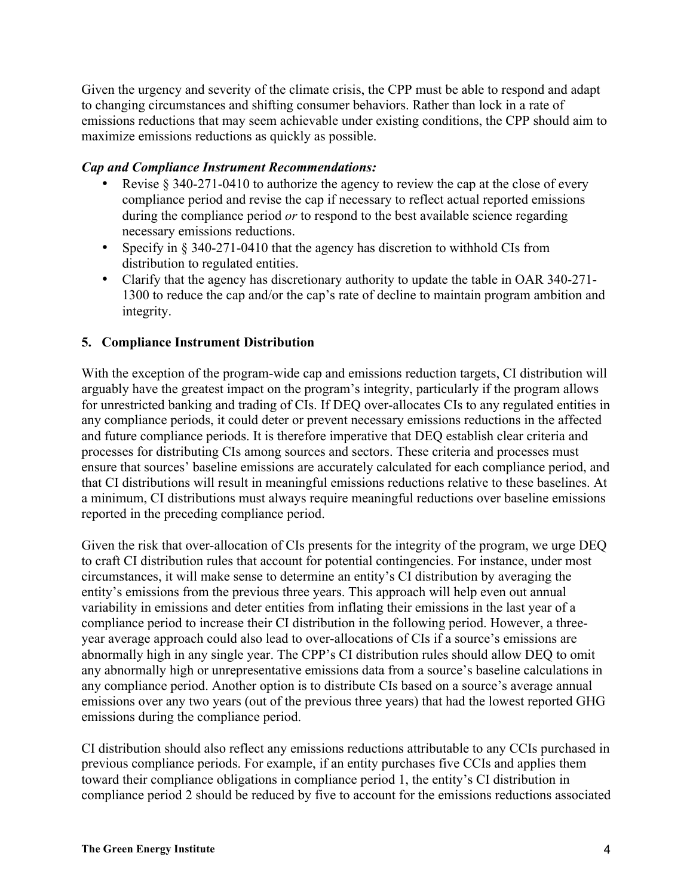Given the urgency and severity of the climate crisis, the CPP must be able to respond and adapt to changing circumstances and shifting consumer behaviors. Rather than lock in a rate of emissions reductions that may seem achievable under existing conditions, the CPP should aim to maximize emissions reductions as quickly as possible.

#### *Cap and Compliance Instrument Recommendations:*

- Revise  $\S$  340-271-0410 to authorize the agency to review the cap at the close of every compliance period and revise the cap if necessary to reflect actual reported emissions during the compliance period *or* to respond to the best available science regarding necessary emissions reductions.
- Specify in § 340-271-0410 that the agency has discretion to withhold CIs from distribution to regulated entities.
- Clarify that the agency has discretionary authority to update the table in OAR 340-271- 1300 to reduce the cap and/or the cap's rate of decline to maintain program ambition and integrity.

### **5. Compliance Instrument Distribution**

With the exception of the program-wide cap and emissions reduction targets, CI distribution will arguably have the greatest impact on the program's integrity, particularly if the program allows for unrestricted banking and trading of CIs. If DEQ over-allocates CIs to any regulated entities in any compliance periods, it could deter or prevent necessary emissions reductions in the affected and future compliance periods. It is therefore imperative that DEQ establish clear criteria and processes for distributing CIs among sources and sectors. These criteria and processes must ensure that sources' baseline emissions are accurately calculated for each compliance period, and that CI distributions will result in meaningful emissions reductions relative to these baselines. At a minimum, CI distributions must always require meaningful reductions over baseline emissions reported in the preceding compliance period.

Given the risk that over-allocation of CIs presents for the integrity of the program, we urge DEQ to craft CI distribution rules that account for potential contingencies. For instance, under most circumstances, it will make sense to determine an entity's CI distribution by averaging the entity's emissions from the previous three years. This approach will help even out annual variability in emissions and deter entities from inflating their emissions in the last year of a compliance period to increase their CI distribution in the following period. However, a threeyear average approach could also lead to over-allocations of CIs if a source's emissions are abnormally high in any single year. The CPP's CI distribution rules should allow DEQ to omit any abnormally high or unrepresentative emissions data from a source's baseline calculations in any compliance period. Another option is to distribute CIs based on a source's average annual emissions over any two years (out of the previous three years) that had the lowest reported GHG emissions during the compliance period.

CI distribution should also reflect any emissions reductions attributable to any CCIs purchased in previous compliance periods. For example, if an entity purchases five CCIs and applies them toward their compliance obligations in compliance period 1, the entity's CI distribution in compliance period 2 should be reduced by five to account for the emissions reductions associated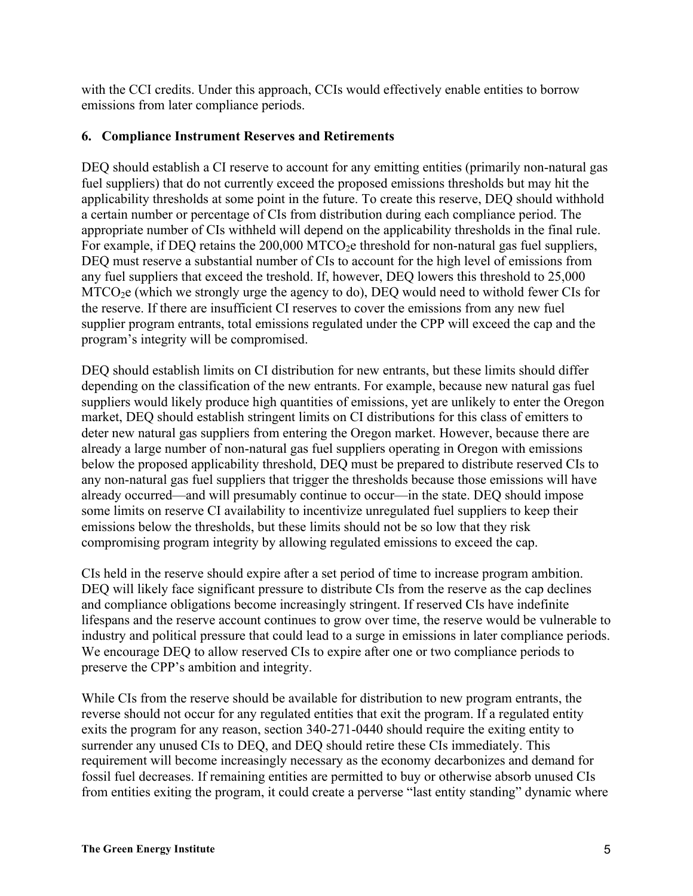with the CCI credits. Under this approach, CCIs would effectively enable entities to borrow emissions from later compliance periods.

### **6. Compliance Instrument Reserves and Retirements**

DEQ should establish a CI reserve to account for any emitting entities (primarily non-natural gas fuel suppliers) that do not currently exceed the proposed emissions thresholds but may hit the applicability thresholds at some point in the future. To create this reserve, DEQ should withhold a certain number or percentage of CIs from distribution during each compliance period. The appropriate number of CIs withheld will depend on the applicability thresholds in the final rule. For example, if DEQ retains the  $200,000$  MTCO<sub>2</sub>e threshold for non-natural gas fuel suppliers, DEQ must reserve a substantial number of CIs to account for the high level of emissions from any fuel suppliers that exceed the treshold. If, however, DEQ lowers this threshold to 25,000 MTCO2e (which we strongly urge the agency to do), DEQ would need to withold fewer CIs for the reserve. If there are insufficient CI reserves to cover the emissions from any new fuel supplier program entrants, total emissions regulated under the CPP will exceed the cap and the program's integrity will be compromised.

DEQ should establish limits on CI distribution for new entrants, but these limits should differ depending on the classification of the new entrants. For example, because new natural gas fuel suppliers would likely produce high quantities of emissions, yet are unlikely to enter the Oregon market, DEQ should establish stringent limits on CI distributions for this class of emitters to deter new natural gas suppliers from entering the Oregon market. However, because there are already a large number of non-natural gas fuel suppliers operating in Oregon with emissions below the proposed applicability threshold, DEQ must be prepared to distribute reserved CIs to any non-natural gas fuel suppliers that trigger the thresholds because those emissions will have already occurred—and will presumably continue to occur—in the state. DEQ should impose some limits on reserve CI availability to incentivize unregulated fuel suppliers to keep their emissions below the thresholds, but these limits should not be so low that they risk compromising program integrity by allowing regulated emissions to exceed the cap.

CIs held in the reserve should expire after a set period of time to increase program ambition. DEQ will likely face significant pressure to distribute CIs from the reserve as the cap declines and compliance obligations become increasingly stringent. If reserved CIs have indefinite lifespans and the reserve account continues to grow over time, the reserve would be vulnerable to industry and political pressure that could lead to a surge in emissions in later compliance periods. We encourage DEQ to allow reserved CIs to expire after one or two compliance periods to preserve the CPP's ambition and integrity.

While CIs from the reserve should be available for distribution to new program entrants, the reverse should not occur for any regulated entities that exit the program. If a regulated entity exits the program for any reason, section 340-271-0440 should require the exiting entity to surrender any unused CIs to DEQ, and DEQ should retire these CIs immediately. This requirement will become increasingly necessary as the economy decarbonizes and demand for fossil fuel decreases. If remaining entities are permitted to buy or otherwise absorb unused CIs from entities exiting the program, it could create a perverse "last entity standing" dynamic where